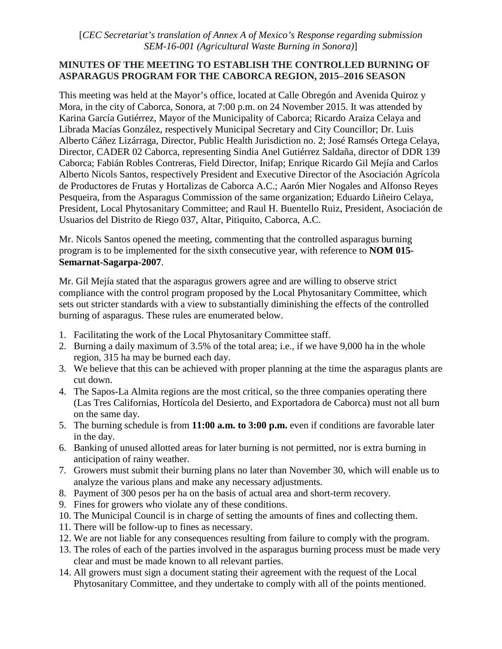[*CEC Secretariat's translation of Annex A of Mexico's Response regarding submission SEM-16-001 (Agricultural Waste Burning in Sonora)*]

#### **MINUTES OF THE MEETING TO ESTABLISH THE CONTROLLED BURNING OF ASPARAGUS PROGRAM FOR THE CABORCA REGION, 2015–2016 SEASON**

This meeting was held at the Mayor's office, located at Calle Obregón and Avenida Quiroz y Mora, in the city of Caborca, Sonora, at 7:00 p.m. on 24 November 2015. It was attended by Karina García Gutiérrez, Mayor of the Municipality of Caborca; Ricardo Araiza Celaya and Librada Macías González, respectively Municipal Secretary and City Councillor; Dr. Luis Alberto Cáñez Lizárraga, Director, Public Health Jurisdiction no. 2; José Ramsés Ortega Celaya, Director, CADER 02 Caborca, representing Sindia Anel Gutiérrez Saldaña, director of DDR 139 Caborca; Fabián Robles Contreras, Field Director, Inifap; Enrique Ricardo Gil Mejía and Carlos Alberto Nicols Santos, respectively President and Executive Director of the Asociación Agrícola de Productores de Frutas y Hortalizas de Caborca A.C.; Aarón Mier Nogales and Alfonso Reyes Pesqueira, from the Asparagus Commission of the same organization; Eduardo Liñeiro Celaya, President, Local Phytosanitary Committee; and Raul H. Buentello Ruiz, President, Asociación de Usuarios del Distrito de Riego 037, Altar, Pitiquito, Caborca, A.C.

Mr. Nicols Santos opened the meeting, commenting that the controlled asparagus burning program is to be implemented for the sixth consecutive year, with reference to **NOM 015- Semarnat-Sagarpa-2007**.

Mr. Gil Mejía stated that the asparagus growers agree and are willing to observe strict compliance with the control program proposed by the Local Phytosanitary Committee, which sets out stricter standards with a view to substantially diminishing the effects of the controlled burning of asparagus. These rules are enumerated below.

- 1. Facilitating the work of the Local Phytosanitary Committee staff.
- 2. Burning a daily maximum of 3.5% of the total area; i.e., if we have 9,000 ha in the whole region, 315 ha may be burned each day.
- 3. We believe that this can be achieved with proper planning at the time the asparagus plants are cut down.
- 4. The Sapos-La Almita regions are the most critical, so the three companies operating there (Las Tres Californias, Hortícola del Desierto, and Exportadora de Caborca) must not all burn on the same day.
- 5. The burning schedule is from **11:00 a.m. to 3:00 p.m.** even if conditions are favorable later in the day.
- 6. Banking of unused allotted areas for later burning is not permitted, nor is extra burning in anticipation of rainy weather.
- 7. Growers must submit their burning plans no later than November 30, which will enable us to analyze the various plans and make any necessary adjustments.
- 8. Payment of 300 pesos per ha on the basis of actual area and short-term recovery.
- 9. Fines for growers who violate any of these conditions.
- 10. The Municipal Council is in charge of setting the amounts of fines and collecting them.
- 11. There will be follow-up to fines as necessary.
- 12. We are not liable for any consequences resulting from failure to comply with the program.
- 13. The roles of each of the parties involved in the asparagus burning process must be made very clear and must be made known to all relevant parties.
- 14. All growers must sign a document stating their agreement with the request of the Local Phytosanitary Committee, and they undertake to comply with all of the points mentioned.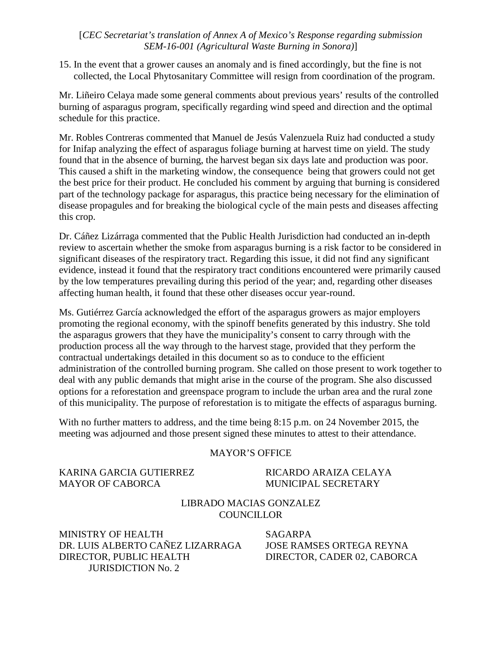### [*CEC Secretariat's translation of Annex A of Mexico's Response regarding submission SEM-16-001 (Agricultural Waste Burning in Sonora)*]

15. In the event that a grower causes an anomaly and is fined accordingly, but the fine is not collected, the Local Phytosanitary Committee will resign from coordination of the program.

Mr. Liñeiro Celaya made some general comments about previous years' results of the controlled burning of asparagus program, specifically regarding wind speed and direction and the optimal schedule for this practice.

Mr. Robles Contreras commented that Manuel de Jesús Valenzuela Ruiz had conducted a study for Inifap analyzing the effect of asparagus foliage burning at harvest time on yield. The study found that in the absence of burning, the harvest began six days late and production was poor. This caused a shift in the marketing window, the consequence being that growers could not get the best price for their product. He concluded his comment by arguing that burning is considered part of the technology package for asparagus, this practice being necessary for the elimination of disease propagules and for breaking the biological cycle of the main pests and diseases affecting this crop.

Dr. Cáñez Lizárraga commented that the Public Health Jurisdiction had conducted an in-depth review to ascertain whether the smoke from asparagus burning is a risk factor to be considered in significant diseases of the respiratory tract. Regarding this issue, it did not find any significant evidence, instead it found that the respiratory tract conditions encountered were primarily caused by the low temperatures prevailing during this period of the year; and, regarding other diseases affecting human health, it found that these other diseases occur year-round.

Ms. Gutiérrez García acknowledged the effort of the asparagus growers as major employers promoting the regional economy, with the spinoff benefits generated by this industry. She told the asparagus growers that they have the municipality's consent to carry through with the production process all the way through to the harvest stage, provided that they perform the contractual undertakings detailed in this document so as to conduce to the efficient administration of the controlled burning program. She called on those present to work together to deal with any public demands that might arise in the course of the program. She also discussed options for a reforestation and greenspace program to include the urban area and the rural zone of this municipality. The purpose of reforestation is to mitigate the effects of asparagus burning.

With no further matters to address, and the time being 8:15 p.m. on 24 November 2015, the meeting was adjourned and those present signed these minutes to attest to their attendance.

#### MAYOR'S OFFICE

KARINA GARCIA GUTIERREZ RICARDO ARAIZA CELAYA MAYOR OF CABORCA MUNICIPAL SECRETARY

#### LIBRADO MACIAS GONZALEZ **COUNCILLOR**

MINISTRY OF HEALTH SAGARPA DR. LUIS ALBERTO CAÑEZ LIZARRAGA JOSE RAMSES ORTEGA REYNA DIRECTOR, PUBLIC HEALTH JURISDICTION No. 2

DIRECTOR, CADER 02, CABORCA